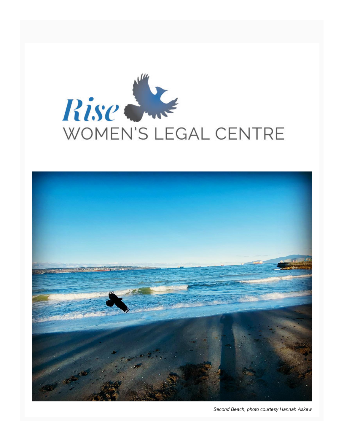



*Second Beach, photo courtesy Hannah Askew*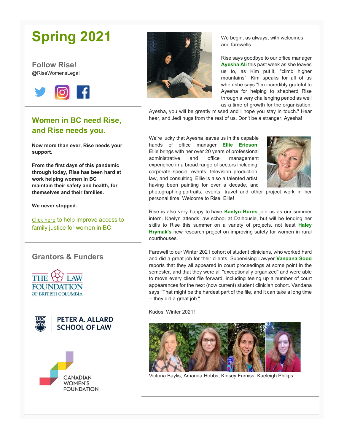# **Spring 2021**

**Follow Rise!** @RiseWomensLegal



## **Women in BC need Rise, and Rise needs you.**

**Now more than ever, Rise needs your support.**

**From the first days of this pandemic through today, Rise has been hard at work helping women in BC maintain their safety and health, for themselves and their families.**

**We never stopped.**

[Click here](https://womenslegalcentre.us10.list-manage.com/track/click?u=f078aba75ebe057aaca82e319&id=6e9c80f66b&e=c97e8fda04) to help improve access to family justice for women in BC

## **Grantors & Funders**









We begin, as always, with welcomes and farewells.

Rise says goodbye to our office manager **Ayesha Ali** this past week as she leaves us to, as Kim put it, "climb higher mountains". Kim speaks for all of us when she says "I'm incredibly grateful to Ayesha for helping to shepherd Rise through a very challenging period as well as a time of growth for the organisation.

Ayesha, you will be greatly missed and I hope you stay in touch." Hear hear, and Jedi hugs from the rest of us. Don't be a stranger, Ayesha!

We're lucky that Ayesha leaves us in the capable hands of office manager **Ellie Ericson**. Ellie brings with her over 20 years of professional administrative and office management experience in a broad range of sectors including, corporate special events, television production, law, and consulting. Ellie is also a talented artist, having been painting for over a decade, and



photographing portraits, events, travel and other project work in her personal time. Welcome to Rise, Ellie!

Rise is also very happy to have **Kaelyn Burns** join us as our summer intern. Kaelyn attends law school at Dalhousie, but will be lending her skills to Rise this summer on a variety of projects, not least **Haley Hrymak's** new research project on improving safety for women in rural courthouses.

Farewell to our Winter 2021 cohort of student clinicians, who worked hard and did a great job for their clients. Supervising Lawyer **Vandana Sood** reports that they all appeared in court proceedings at some point in the semester, and that they were all "exceptionally organized" and were able to move every client file forward, including teeing up a number of court appearances for the next (now current) student clinician cohort. Vandana says "That might be the hardest part of the file, and it can take a long time -- they did a great job."

Kudos, Winter 2021!



Victoria Baylis, Amanda Hobbs, Kinsey Furniss, Kaeleigh Philips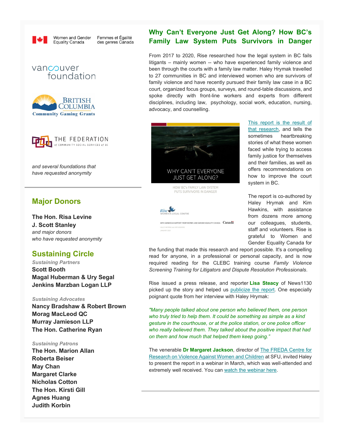

Women and Gender Femmes et Égalité Equality Canada des genres Canada







*and several foundations that have requested anonymity*

### **Major Donors**

**The Hon. Risa Levine J. Scott Stanley** *and major donors who have requested anonymity*

#### **Sustaining Circle**

#### *Sustaining Partners*

**Scott Booth Magal Huberman & Ury Segal Jenkins Marzban Logan LLP**

#### *Sustaining Advocates*

**Nancy Bradshaw & Robert Brown Morag MacLeod QC Murray Jamieson LLP The Hon. Catherine Ryan**

#### *Sustaining Patrons*

**The Hon. Marion Allan Roberta Beiser May Chan Margaret Clarke Nicholas Cotton The Hon. Kirsti Gill Agnes Huang Judith Korbin**

### **Why Can't Everyone Just Get Along? How BC's Family Law System Puts Survivors in Danger**

From 2017 to 2020, Rise researched how the legal system in BC fails litigants – mainly women -- who have experienced family violence and been through the courts with a family law matter. Haley Hrymak travelled to 27 communities in BC and interviewed women who are survivors of family violence and have recently pursued their family law case in a BC court, organized focus groups, surveys, and round-table discussions, and spoke directly with front-line workers and experts from different disciplines, including law, psychology, social work, education, nursing, advocacy, and counselling.



HOW BC's FAMILY LAW SYSTEM PUTS SURVIVORS IN DANGER



WITH GENEROUS SUPPORT FROM WOMEN AND GENDER EQUALITY CANADA Canada

[This report is the result of](https://womenslegalcentre.us10.list-manage.com/track/click?u=f078aba75ebe057aaca82e319&id=e58b1c96ac&e=c97e8fda04)  [th](https://womenslegalcentre.us10.list-manage.com/track/click?u=f078aba75ebe057aaca82e319&id=e58b1c96ac&e=c97e8fda04)[at research,](https://womenslegalcentre.us10.list-manage.com/track/click?u=f078aba75ebe057aaca82e319&id=972517936c&e=c97e8fda04) and tells the sometimes heartbreaking stories of what these women faced while trying to access family justice for themselves and their families, as well as offers recommendations on how to improve the court system in BC.

The report is co-authored by Haley Hrymak and Kim Hawkins, with assistance from dozens more among our colleagues, students, staff and volunteers. Rise is grateful to Women and Gender Equality Canada for

the funding that made this research and report possible. It's a compelling read for anyone, in a professional or personal capacity, and is now required reading for the CLEBC training course *Family Violence Screening Training for Litigators and Dispute Resolution Professionals*.

Rise issued a press release, and reporter **Lisa Steacy** of News1130 picked up the story and helped us [publicize the report.](https://womenslegalcentre.us10.list-manage.com/track/click?u=f078aba75ebe057aaca82e319&id=79eeb849c6&e=c97e8fda04) One especially poignant quote from her interview with Haley Hrymak:

*"Many people talked about one person who believed them, one person who truly tried to help them. It could be something as simple as a kind gesture in the courthouse, or at the police station, or one police officer who really believed them. They talked about the positive impact that had on them and how much that helped them keep going."*

The venerable **Dr Margaret Jackson**, director of [The FREDA Centre for](https://womenslegalcentre.us10.list-manage.com/track/click?u=f078aba75ebe057aaca82e319&id=518c617dea&e=c97e8fda04)  [Research on Violence Against Women and Children](https://womenslegalcentre.us10.list-manage.com/track/click?u=f078aba75ebe057aaca82e319&id=518c617dea&e=c97e8fda04) at SFU, invited Haley to present the report in a webinar in March, which was well-attended and extremely well received. You can [watch the webinar here.](https://womenslegalcentre.us10.list-manage.com/track/click?u=f078aba75ebe057aaca82e319&id=a09239720c&e=c97e8fda04)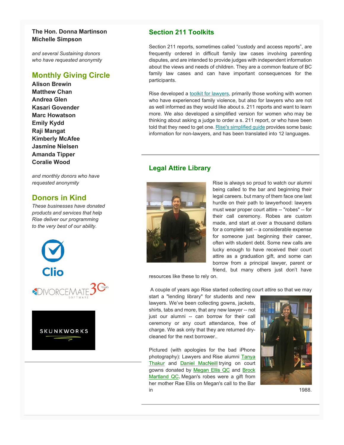#### **The Hon. Donna Martinson Michelle Simpson**

*and several Sustaining donors who have requested anonymity*

#### **Monthly Giving Circle**

**Alison Brewin Matthew Chan Andrea Glen Kasari Govender Marc Howatson Emily Kydd Raji Mangat Kimberly McAfee Jasmine Nielsen Amanda Tipper Coralie Wood**

*and monthly donors who have requested anonymity*

#### **Donors in Kind**

*These businesses have donated products and services that help Rise deliver our programming to the very best of our ability.*





#### **Section 211 Toolkits**

Section 211 reports, sometimes called "custody and access reports", are frequently ordered in difficult family law cases involving parenting disputes, and are intended to provide judges with independent information about the views and needs of children. They are a common feature of BC family law cases and can have important consequences for the participants.

Rise developed [a toolkit for lawyers,](https://womenslegalcentre.us10.list-manage.com/track/click?u=f078aba75ebe057aaca82e319&id=c449661328&e=c97e8fda04) primarily those working with women who have experienced family violence, but also for lawyers who are not as well informed as they would like about s. 211 reports and want to learn more. We also developed a simplified version for women who may be thinking about asking a judge to order a s. 211 report, or who have been told that they need to get one. [Rise's simplified guide](https://womenslegalcentre.us10.list-manage.com/track/click?u=f078aba75ebe057aaca82e319&id=68b3fce686&e=c97e8fda04) provides some basic information for non-lawyers, and has been translated into 12 languages.

#### **Legal Attire Library**



Rise is always so proud to watch our alumni being called to the bar and beginning their legal careers. but many of them face one last hurdle on their path to lawyerhood: lawyers must wear proper court attire -- "robes" -- for their call ceremony. Robes are custom made, and start at over a thousand dollars for a complete set -- a considerable expense for someone just beginning their career, often with student debt. Some new calls are lucky enough to have received their court attire as a graduation gift, and some can borrow from a principal lawyer, parent or friend, but many others just don't have

resources like these to rely on.

A couple of years ago Rise started collecting court attire so that we may

start a "lending library" for students and new lawyers. We've been collecting gowns, jackets, shirts, tabs and more, that any new lawyer -- not just our alumni -- can borrow for their call ceremony or any court attendance, free of charge. We ask only that they are returned drycleaned for the next borrower..

Pictured (with apologies for the bad iPhone photography): Lawyers and Rise alumni Tanya [Thakur](https://womenslegalcentre.us10.list-manage.com/track/click?u=f078aba75ebe057aaca82e319&id=d4c082d398&e=c97e8fda04) and [Daniel MacNeill](https://womenslegalcentre.us10.list-manage.com/track/click?u=f078aba75ebe057aaca82e319&id=16772e67c5&e=c97e8fda04) trying on court gowns donated by [Megan Ellis QC](https://womenslegalcentre.us10.list-manage.com/track/click?u=f078aba75ebe057aaca82e319&id=404b503680&e=c97e8fda04) and Brock [Martland QC](https://womenslegalcentre.us10.list-manage.com/track/click?u=f078aba75ebe057aaca82e319&id=66bcff3fd9&e=c97e8fda04)**.** Megan's robes were a gift from her mother Rae Ellis on Megan's call to the Bar  $\ln$